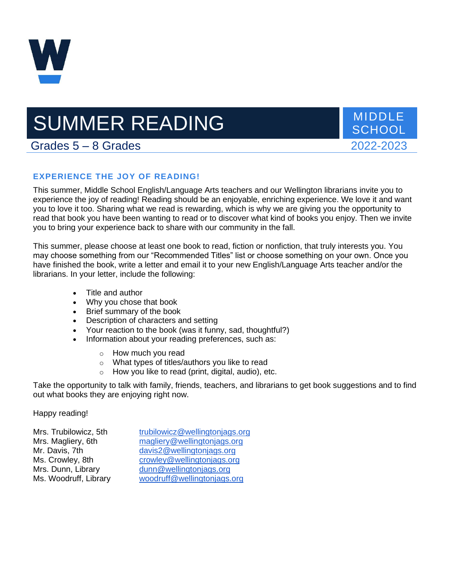

# SUMMER READING MIDDLE

**SCHOOL** 

# Grades 5 – 8 Grades 2022-2023

# **EXPERIENCE THE JOY OF READING!**

This summer, Middle School English/Language Arts teachers and our Wellington librarians invite you to experience the joy of reading! Reading should be an enjoyable, enriching experience. We love it and want you to love it too. Sharing what we read is rewarding, which is why we are giving you the opportunity to read that book you have been wanting to read or to discover what kind of books you enjoy. Then we invite you to bring your experience back to share with our community in the fall.

This summer, please choose at least one book to read, fiction or nonfiction, that truly interests you. You may choose something from our "Recommended Titles" list or choose something on your own. Once you have finished the book, write a letter and email it to your new English/Language Arts teacher and/or the librarians. In your letter, include the following:

- Title and author
- Why you chose that book
- Brief summary of the book
- Description of characters and setting
- Your reaction to the book (was it funny, sad, thoughtful?)
- Information about your reading preferences, such as:
	- o How much you read
	- o What types of titles/authors you like to read
	- How you like to read (print, digital, audio), etc.

Take the opportunity to talk with family, friends, teachers, and librarians to get book suggestions and to find out what books they are enjoying right now.

Happy reading!

| Mrs. Trubilowicz, 5th | trubilowicz@wellingtonjags.org |
|-----------------------|--------------------------------|
| Mrs. Magliery, 6th    | magliery@wellingtonjags.org    |
| Mr. Davis, 7th        | davis2@wellingtonjags.org      |
| Ms. Crowley, 8th      | crowley@wellingtonjags.org     |
| Mrs. Dunn, Library    | dunn@wellingtonjags.org        |
| Ms. Woodruff, Library | woodruff@wellingtonjags.org    |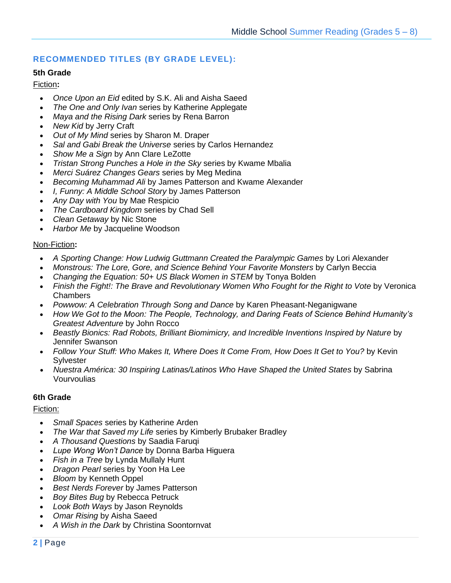# **RECOMMENDED TITLES (BY GRADE LEVEL):**

# **5th Grade**

# Fiction**:**

- *Once Upon an Eid* edited by S.K. Ali and Aisha Saeed
- *The One and Only Ivan* series by Katherine Applegate
- *Maya and the Rising Dark* series by Rena Barron
- *New Kid* by Jerry Craft
- *Out of My Mind* series by Sharon M. Draper
- *Sal and Gabi Break the Universe* series by Carlos Hernandez
- *Show Me a Sign* by Ann Clare LeZotte
- *Tristan Strong Punches a Hole in the Sky* series by Kwame Mbalia
- *Merci Suárez Changes Gears* series by Meg Medina
- *Becoming Muhammad Ali* by James Patterson and Kwame Alexander
- *I, Funny: A Middle School Story* by James Patterson
- *Any Day with You* by Mae Respicio
- *The Cardboard Kingdom* series by Chad Sell
- *Clean Getaway* by Nic Stone
- *Harbor Me* by Jacqueline Woodson

# Non-Fiction**:**

- *A Sporting Change: How Ludwig Guttmann Created the Paralympic Games* by Lori Alexander
- *Monstrous: The Lore, Gore, and Science Behind Your Favorite Monsters* by Carlyn Beccia
- *Changing the Equation: 50+ US Black Women in STEM* by Tonya Bolden
- *Finish the Fight!: The Brave and Revolutionary Women Who Fought for the Right to Vote* by Veronica Chambers
- *Powwow: A Celebration Through Song and Dance* by Karen Pheasant-Neganigwane
- *How We Got to the Moon: The People, Technology, and Daring Feats of Science Behind Humanity's Greatest Adventure* by John Rocco
- *Beastly Bionics: Rad Robots, Brilliant Biomimicry, and Incredible Inventions Inspired by Nature* by Jennifer Swanson
- *Follow Your Stuff: Who Makes It, Where Does It Come From, How Does It Get to You?* by Kevin **Sylvester**
- *Nuestra América: 30 Inspiring Latinas/Latinos Who Have Shaped the United States* by Sabrina Vourvoulias

# **6th Grade**

# Fiction:

- *Small Spaces* series by Katherine Arden
- *The War that Saved my Life* series by Kimberly Brubaker Bradley
- *A Thousand Questions* by Saadia Faruqi
- *Lupe Wong Won't Dance* by Donna Barba Higuera
- *Fish in a Tree* by Lynda Mullaly Hunt
- *Dragon Pearl* series by Yoon Ha Lee
- *Bloom* by Kenneth Oppel
- *Best Nerds Forever* by James Patterson
- *Boy Bites Bug* by Rebecca Petruck
- *Look Both Ways* by Jason Reynolds
- *Omar Rising* by Aisha Saeed
- *A Wish in the Dark* by Christina Soontornvat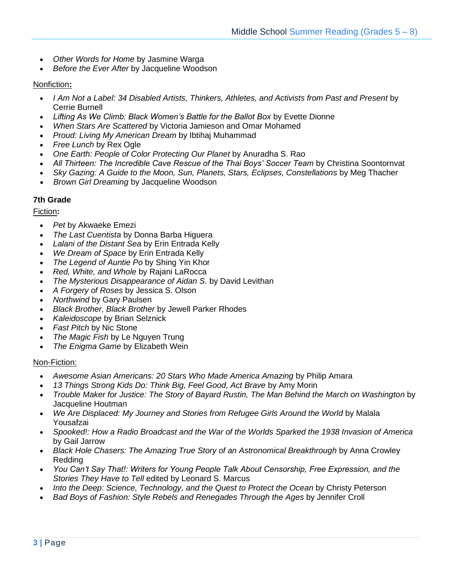- *Other Words for Home* by Jasmine Warga
- *Before the Ever After* by Jacqueline Woodson

# Nonfiction**:**

- *I Am Not a Label: 34 Disabled Artists, Thinkers, Athletes, and Activists from Past and Present* by Cerrie Burnell
- *Lifting As We Climb: Black Women's Battle for the Ballot Box* by Evette Dionne
- *When Stars Are Scattered* by Victoria Jamieson and Omar Mohamed
- *Proud: Living My American Dream* by Ibtihaj Muhammad
- *Free Lunch* by Rex Ogle
- *One Earth: People of Color Protecting Our Planet* by Anuradha S. Rao
- *All Thirteen: The Incredible Cave Rescue of the Thai Boys' Soccer Team* by Christina Soontornvat
- *Sky Gazing: A Guide to the Moon, Sun, Planets, Stars, Eclipses, Constellations* by Meg Thacher
- *Brown Girl Dreaming* by Jacqueline Woodson

# **7th Grade**

Fiction**:**

- *Pet* by Akwaeke Emezi
- *The Last Cuentista* by Donna Barba Higuera
- *Lalani of the Distant Sea* by Erin Entrada Kelly
- *We Dream of Space* by Erin Entrada Kelly
- *The Legend of Auntie Po* by Shing Yin Khor
- *Red, White, and Whole* by Rajani LaRocca
- *The Mysterious Disappearance of Aidan S.* by David Levithan
- *A Forgery of Roses* by Jessica S. Olson
- *Northwind* by Gary Paulsen
- *Black Brother, Black Brother* by Jewell Parker Rhodes
- *Kaleidoscope* by Brian Selznick
- *Fast Pitch* by Nic Stone
- *The Magic Fish* by Le Nguyen Trung
- *The Enigma Game* by Elizabeth Wein

#### Non-Fiction:

- *Awesome Asian Americans: 20 Stars Who Made America Amazing* by Philip Amara
- *13 Things Strong Kids Do: Think Big, Feel Good, Act Brave* by Amy Morin
- *Trouble Maker for Justice: The Story of Bayard Rustin, The Man Behind the March on Washington* by Jacqueline Houtman
- *We Are Displaced: My Journey and Stories from Refugee Girls Around the World* by Malala Yousafzai
- *Spooked!: How a Radio Broadcast and the War of the Worlds Sparked the 1938 Invasion of America* by Gail Jarrow
- *Black Hole Chasers: The Amazing True Story of an Astronomical Breakthrough* by Anna Crowley Redding
- *You Can't Say That!: Writers for Young People Talk About Censorship, Free Expression, and the Stories They Have to Tell* edited by Leonard S. Marcus
- *Into the Deep: Science, Technology, and the Quest to Protect the Ocean* by Christy Peterson
- *Bad Boys of Fashion: Style Rebels and Renegades Through the Ages* by Jennifer Croll